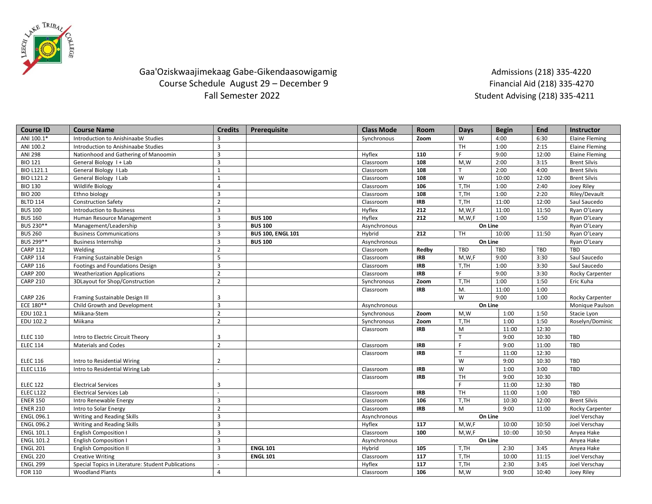

## Gaa'Oziskwaajimekaag Gabe-Gikendaasowigamig aan admissions (218) 335-4220 Course Schedule August 29 – December 9 Financial Aid (218) 335-4270<br>Fall Semester 2022 Fall Semester 2022

Student Advising (218) 335-4211

| <b>Course ID</b>  | <b>Course Name</b>                                 | <b>Credits</b> | Prerequisite             | <b>Class Mode</b> | Room              | Days       | <b>Begin</b>  | End             | <b>Instructor</b>     |
|-------------------|----------------------------------------------------|----------------|--------------------------|-------------------|-------------------|------------|---------------|-----------------|-----------------------|
| ANI 100.1*        | Introduction to Anishinaabe Studies                | 3              |                          | Synchronous       | Zoom              | W          | 4:00          | 6:30            | <b>Elaine Fleming</b> |
| ANI 100.2         | Introduction to Anishinaabe Studies                | $\overline{3}$ |                          |                   |                   | TH         | 1:00          | 2:15            | <b>Elaine Fleming</b> |
| <b>ANI 298</b>    | Nationhood and Gathering of Manoomin               | 3              |                          | Hyflex            | 110               | F.         | 9:00          | 12:00           | <b>Elaine Fleming</b> |
| <b>BIO 121</b>    | General Biology 1 + Lab                            | 3              |                          | Classroom         | 108               | M,W        | 2:00          | 3:15            | <b>Brent Silvis</b>   |
| BIO L121.1        | General Biology I Lab                              | $\mathbf{1}$   |                          | Classroom         | 108               | т          | 2:00          | 4:00            | <b>Brent Silvis</b>   |
| BIO L121.2        | General Biology I Lab                              | $\mathbf{1}$   |                          | Classroom         | 108               | W          | 10:00         | 12:00           | <b>Brent Silvis</b>   |
| <b>BIO 130</b>    | Wildlife Biology                                   | $\overline{4}$ |                          | Classroom         | 106               | T,TH       | 1:00          | 2:40            | Joey Riley            |
| <b>BIO 200</b>    | Ethno biology                                      | 3              |                          | Classroom         | 108               | T,TH       | 1:00          | 2:20            | Riley/Devault         |
| <b>BLTD 114</b>   | <b>Construction Safety</b>                         | $\overline{2}$ |                          | Classroom         | <b>IRB</b>        | T.TH       | 11:00         | 12:00           | Saul Saucedo          |
| <b>BUS 100</b>    | <b>Introduction to Business</b>                    | 3              |                          | Hyflex            | 212               | M, W, F    | 11:00         | 11:50           | Ryan O'Leary          |
| <b>BUS 160</b>    | Human Resource Management                          | $\overline{3}$ | <b>BUS 100</b>           | Hyflex            | 212               | M, W, F    | 1:00          | 1:50            | Ryan O'Leary          |
| BUS 230**         | Management/Leadership                              | 3              | <b>BUS 100</b>           | Asynchronous      | On Line           |            |               | Ryan O'Leary    |                       |
| <b>BUS 260</b>    | <b>Business Communications</b>                     | 3              | <b>BUS 100, ENGL 101</b> | Hybrid            | 212               | <b>TH</b>  | 10:00         | 11:50           | Ryan O'Leary          |
| BUS 299**         | <b>Business Internship</b>                         | $\overline{3}$ | <b>BUS 100</b>           | Asynchronous      | On Line           |            |               | Ryan O'Leary    |                       |
| <b>CARP 112</b>   | Welding                                            | $\overline{2}$ |                          | Classroom         | Redby             | <b>TBD</b> | <b>TBD</b>    | <b>TBD</b>      | <b>TBD</b>            |
| <b>CARP 114</b>   | Framing Sustainable Design                         | 5              |                          | Classroom         | <b>IRB</b>        | M, W, F    | 9:00          | 3:30            | Saul Saucedo          |
| <b>CARP 116</b>   | Footings and Foundations Design                    | 3              |                          | Classroom         | <b>IRB</b>        | T,TH       | 1:00          | 3:30            | Saul Saucedo          |
| <b>CARP 200</b>   | <b>Weatherization Applications</b>                 | $\overline{2}$ |                          | Classroom         | <b>IRB</b>        | F.         | 9:00          | 3:30            | Rocky Carpenter       |
| <b>CARP 210</b>   | 3DLayout for Shop/Construction                     | $\overline{2}$ |                          | Synchronous       | Zoom              | T,TH       | 1:00          | 1:50            | Eric Kuha             |
|                   |                                                    |                |                          | Classroom         | <b>IRB</b>        | M.         | 11:00         | 1:00            |                       |
| <b>CARP 226</b>   | Framing Sustainable Design III                     | 3              |                          |                   | W<br>9:00<br>1:00 |            |               | Rocky Carpenter |                       |
| ECE 180**         | Child Growth and Development                       | $\overline{3}$ |                          | Asynchronous      | On Line           |            |               | Monique Paulson |                       |
| EDU 102.1         | Miikana-Stem                                       | $\overline{2}$ |                          | Synchronous       | Zoom              | M,W        | 1:00          | 1:50            | Stacie Lyon           |
| EDU 102.2         | Miikana                                            | $\overline{2}$ |                          | Synchronous       | Zoom              | T,TH       | 1:00          | 1:50            | Roselyn/Dominic       |
|                   |                                                    |                |                          | Classroom         | <b>IRB</b>        | M          | 11:00         | 12:30           |                       |
| <b>ELEC 110</b>   | Intro to Electric Circuit Theory                   | 3              |                          |                   |                   |            | 9:00          | 10:30           | <b>TBD</b>            |
| <b>ELEC 114</b>   | <b>Materials and Codes</b>                         | $\overline{2}$ |                          | Classroom         | <b>IRB</b>        | F.         | 9:00          | 11:00           | <b>TBD</b>            |
|                   |                                                    |                |                          | Classroom         | <b>IRB</b>        | T          | 11:00         | 12:30           |                       |
| <b>ELEC 116</b>   | Intro to Residential Wiring                        | 2              |                          |                   |                   | W          | 9:00          | 10:30           | TBD                   |
| <b>ELEC L116</b>  | Intro to Residential Wiring Lab                    | ÷.             |                          | Classroom         | <b>IRB</b>        | W          | 1:00          | 3:00            | TBD                   |
|                   |                                                    |                |                          | Classroom         | <b>IRB</b>        | <b>TH</b>  | 9:00          | 10:30           |                       |
| <b>ELEC 122</b>   | <b>Electrical Services</b>                         | 3              |                          |                   |                   |            | 11:00         | 12:30           | TBD                   |
| <b>ELEC L122</b>  | <b>Electrical Services Lab</b>                     |                |                          | Classroom         | <b>IRB</b>        | <b>TH</b>  | 11:00         | 1:00            | TBD                   |
| <b>ENER 150</b>   | Intro Renewable Energy                             | 3              |                          | Classroom         | 106               | T,TH       | 10:30         | 12:00           | <b>Brent Silvis</b>   |
| <b>ENER 210</b>   | Intro to Solar Energy                              | $\overline{2}$ |                          | Classroom         | <b>IRB</b>        | M          | 9:00          | 11:00           | Rocky Carpenter       |
| <b>ENGL 096.1</b> | Writing and Reading Skills                         | $\overline{3}$ |                          | Asynchronous      | On Line           |            | Joel Verschay |                 |                       |
| <b>ENGL 096.2</b> | Writing and Reading Skills                         | 3              |                          | Hyflex            | 117               | M, W, F    | 10:00         | 10:50           | Joel Verschay         |
| <b>ENGL 101.1</b> | <b>English Composition I</b>                       | $\overline{3}$ |                          | Classroom         | 100               | M, W, F    | 10::00        | 10:50           | Anyea Hake            |
| <b>ENGL 101.2</b> | <b>English Composition I</b>                       | $\overline{3}$ |                          | Asynchronous      | On Line           |            |               | Anyea Hake      |                       |
| <b>ENGL 201</b>   | <b>English Composition II</b>                      | 3              | <b>ENGL 101</b>          | Hybrid            | 105               | T,TH       | 2:30          | 3:45            | Anyea Hake            |
| <b>ENGL 220</b>   | <b>Creative Writing</b>                            | 3              | <b>ENGL 101</b>          | Classroom         | 117               | T,TH       | 10:00         | 11:15           | Joel Verschay         |
| <b>ENGL 299</b>   | Special Topics in Literature: Student Publications | ÷.             |                          | Hyflex            | 117               | T,TH       | 2:30          | 3:45            | Joel Verschav         |
| FOR 110           | <b>Woodland Plants</b>                             | $\overline{4}$ |                          | Classroom         | 106               | M.W        | 9:00          | 10:40           | Joey Riley            |